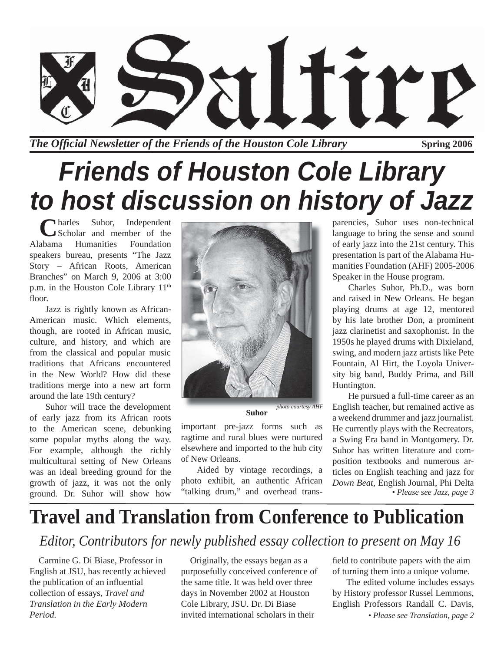

*The Official Newsletter of the Friends of the Houston Cole Library* **Spring 2006** 

# *Friends of Houston Cole Library to host discussion on history of Jazz*

**C**harles Suhor, Independent<br>Alabama Humanities Foundation Scholar and member of the **Humanities** speakers bureau, presents "The Jazz Story – African Roots, American Branches" on March 9, 2006 at 3:00 p.m. in the Houston Cole Library 11<sup>th</sup> floor.

Jazz is rightly known as African-American music. Which elements, though, are rooted in African music, culture, and history, and which are from the classical and popular music traditions that Africans encountered in the New World? How did these traditions merge into a new art form around the late 19th century?

Suhor will trace the development of early jazz from its African roots to the American scene, debunking some popular myths along the way. For example, although the richly multicultural setting of New Orleans was an ideal breeding ground for the growth of jazz, it was not the only ground. Dr. Suhor will show how



**Suhor**

important pre-jazz forms such as ragtime and rural blues were nurtured elsewhere and imported to the hub city of New Orleans.

Aided by vintage recordings, a photo exhibit, an authentic African "talking drum," and overhead transparencies, Suhor uses non-technical language to bring the sense and sound of early jazz into the 21st century. This presentation is part of the Alabama Humanities Foundation (AHF) 2005-2006 Speaker in the House program.

Charles Suhor, Ph.D., was born and raised in New Orleans. He began playing drums at age 12, mentored by his late brother Don, a prominent jazz clarinetist and saxophonist. In the 1950s he played drums with Dixieland, swing, and modern jazz artists like Pete Fountain, Al Hirt, the Loyola University big band, Buddy Prima, and Bill Huntington.

He pursued a full-time career as an English teacher, but remained active as a weekend drummer and jazz journalist. He currently plays with the Recreators, a Swing Era band in Montgomery. Dr. Suhor has written literature and composition textbooks and numerous articles on English teaching and jazz for *Down Beat*, English Journal, Phi Delta *• Please see Jazz, page 3*

## **Travel and Translation from Conference to Publication**

#### *Editor, Contributors for newly published essay collection to present on May 16*

Carmine G. Di Biase, Professor in English at JSU, has recently achieved the publication of an influential collection of essays, *Travel and Translation in the Early Modern Period.*

Originally, the essays began as a purposefully conceived conference of the same title. It was held over three days in November 2002 at Houston Cole Library, JSU. Dr. Di Biase invited international scholars in their

field to contribute papers with the aim of turning them into a unique volume.

The edited volume includes essays by History professor Russel Lemmons, English Professors Randall C. Davis, *• Please see Translation, page 2*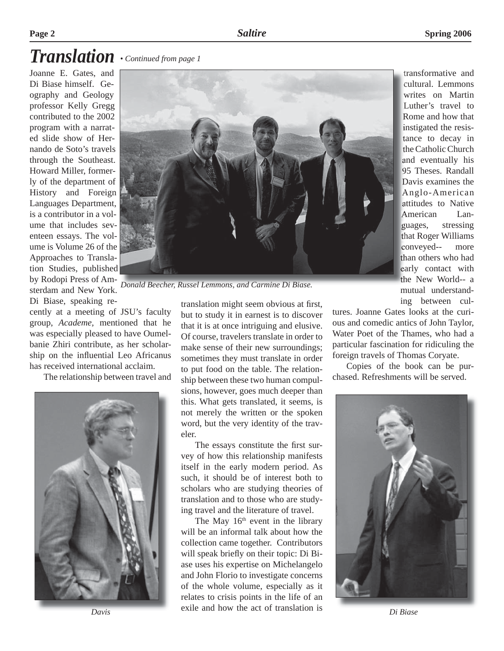### *Translation • Continued from page 1*

Joanne E. Gates, and Di Biase himself. Geography and Geology professor Kelly Gregg contributed to the 2002 program with a narrated slide show of Hernando de Soto's travels through the Southeast. Howard Miller, formerly of the department of History and Foreign Languages Department, is a contributor in a volume that includes seventeen essays. The volume is Volume 26 of the Approaches to Translation Studies, published by Rodopi Press of Amsterdam and New York. Di Biase, speaking re-

cently at a meeting of JSU's faculty group, *Academe,* mentioned that he was especially pleased to have Oumelbanie Zhiri contribute, as her scholarship on the influential Leo Africanus has received international acclaim.

The relationship between travel and





*Donald Beecher, Russel Lemmons, and Carmine Di Biase.*

translation might seem obvious at first, but to study it in earnest is to discover that it is at once intriguing and elusive. Of course, travelers translate in order to make sense of their new surroundings; sometimes they must translate in order to put food on the table. The relationship between these two human compulsions, however, goes much deeper than this. What gets translated, it seems, is not merely the written or the spoken word, but the very identity of the traveler.

The essays constitute the first survey of how this relationship manifests itself in the early modern period. As such, it should be of interest both to scholars who are studying theories of translation and to those who are studying travel and the literature of travel.

The May  $16<sup>th</sup>$  event in the library will be an informal talk about how the collection came together. Contributors will speak briefly on their topic: Di Biase uses his expertise on Michelangelo and John Florio to investigate concerns of the whole volume, especially as it relates to crisis points in the life of an exile and how the act of translation is *Davis Di Biase*

transformative and cultural. Lemmons writes on Martin Luther's travel to Rome and how that instigated the resistance to decay in the Catholic Church and eventually his 95 Theses. Randall Davis examines the Anglo-American attitudes to Native American Languages, stressing that Roger Williams conveyed-- more than others who had early contact with the New World-- a mutual understanding between cul-

tures. Joanne Gates looks at the curious and comedic antics of John Taylor, Water Poet of the Thames, who had a particular fascination for ridiculing the foreign travels of Thomas Coryate.

Copies of the book can be purchased. Refreshments will be served.

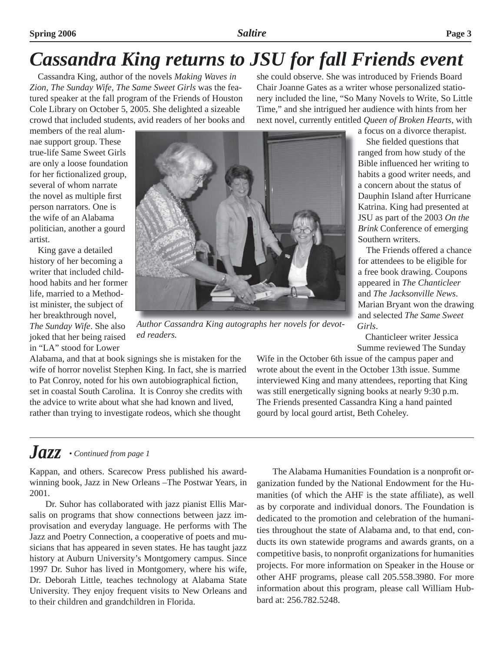## *Cassandra King returns to JSU for fall Friends event*

Cassandra King, author of the novels *Making Waves in Zion, The Sunday Wife, The Same Sweet Girls* was the featured speaker at the fall program of the Friends of Houston Cole Library on October 5, 2005. She delighted a sizeable crowd that included students, avid readers of her books and she could observe. She was introduced by Friends Board Chair Joanne Gates as a writer whose personalized stationery included the line, "So Many Novels to Write, So Little Time," and she intrigued her audience with hints from her next novel, currently entitled *Queen of Broken Hearts*, with

members of the real alumnae support group. These true-life Same Sweet Girls are only a loose foundation for her fictionalized group, several of whom narrate the novel as multiple first person narrators. One is the wife of an Alabama politician, another a gourd artist.

King gave a detailed history of her becoming a writer that included childhood habits and her former life, married to a Methodist minister, the subject of her breakthrough novel, *The Sunday Wife*. She also joked that her being raised in "LA" stood for Lower



*Author Cassandra King autographs her novels for devoted readers.*

Alabama, and that at book signings she is mistaken for the wife of horror novelist Stephen King. In fact, she is married to Pat Conroy, noted for his own autobiographical fiction, set in coastal South Carolina. It is Conroy she credits with the advice to write about what she had known and lived, rather than trying to investigate rodeos, which she thought

a focus on a divorce therapist. She fielded questions that

ranged from how study of the Bible influenced her writing to habits a good writer needs, and a concern about the status of Dauphin Island after Hurricane Katrina. King had presented at JSU as part of the 2003 *On the Brink* Conference of emerging Southern writers.

The Friends offered a chance for attendees to be eligible for a free book drawing. Coupons appeared in *The Chanticleer*  and *The Jacksonville News*. Marian Bryant won the drawing and selected *The Same Sweet Girls*.

Chanticleer writer Jessica Summe reviewed The Sunday

Wife in the October 6th issue of the campus paper and wrote about the event in the October 13th issue. Summe interviewed King and many attendees, reporting that King was still energetically signing books at nearly 9:30 p.m. The Friends presented Cassandra King a hand painted gourd by local gourd artist, Beth Coheley.

#### *Jazz • Continued from page 1*

Kappan, and others. Scarecow Press published his awardwinning book, Jazz in New Orleans –The Postwar Years, in 2001.

Dr. Suhor has collaborated with jazz pianist Ellis Marsalis on programs that show connections between jazz improvisation and everyday language. He performs with The Jazz and Poetry Connection, a cooperative of poets and musicians that has appeared in seven states. He has taught jazz history at Auburn University's Montgomery campus. Since 1997 Dr. Suhor has lived in Montgomery, where his wife, Dr. Deborah Little, teaches technology at Alabama State University. They enjoy frequent visits to New Orleans and to their children and grandchildren in Florida.

The Alabama Humanities Foundation is a nonprofit organization funded by the National Endowment for the Humanities (of which the AHF is the state affiliate), as well as by corporate and individual donors. The Foundation is dedicated to the promotion and celebration of the humanities throughout the state of Alabama and, to that end, conducts its own statewide programs and awards grants, on a competitive basis, to nonprofit organizations for humanities projects. For more information on Speaker in the House or other AHF programs, please call 205.558.3980. For more information about this program, please call William Hubbard at: 256.782.5248.